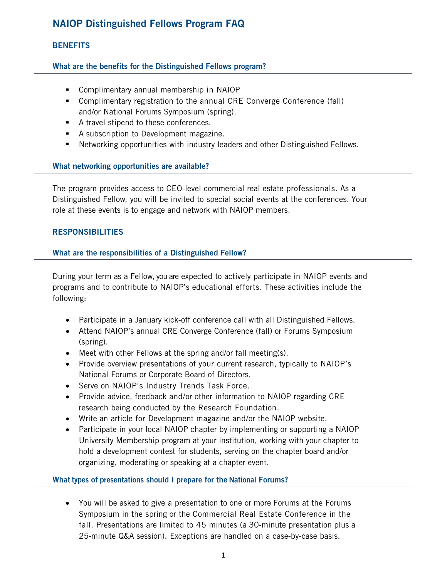# NAIOP Distinguished Fellows Program FAQ

# **BENEFITS**

# What are the benefits for the Distinguished Fellows program?

- Complimentary annual membership in NAIOP
- Complimentary registration to the annual CRE Converge Conference (fall) and/or National Forums Symposium (spring).
- A travel stipend to these conferences.
- A subscription to Development magazine.
- Networking opportunities with industry leaders and other Distinguished Fellows.

## What networking opportunities are available?

The program provides access to CEO-level commercial real estate professionals. As a Distinguished Fellow, you will be invited to special social events at the conferences. Your role at these events is to engage and network with NAIOP members.

## **RESPONSIBILITIES**

# What are the responsibilities of a Distinguished Fellow?

During your term as a Fellow, you are expected to actively participate in NAIOP events and programs and to contribute to NAIOP's educational efforts. These activities include the following:

- Participate in a January kick-off conference call with all Distinguished Fellows.
- Attend NAIOP's annual CRE Converge Conference (fall) or Forums Symposium (spring).
- Meet with other Fellows at the spring and/or fall meeting(s).
- Provide overview presentations of your current research, typically to NAIOP's National Forums or Corporate Board of Directors.
- Serve on NAIOP's Industry Trends Task Force.
- Provide advice, feedback and/or other information to NAIOP regarding CRE research being conducted by the Research Foundation.
- Write an article for [Development](http://www.naiop.org/en/Magazine.aspx) magazine and/or the NAIOP [website.](http://www.naiop.org/en/Magazine.aspx)
- Participate in your local NAIOP chapter by implementing or supporting a NAIOP University Membership program at your institution, working with your chapter to hold a development contest for students, serving on the chapter board and/or organizing, moderating or speaking at a chapter event.

## What types of presentations should I prepare for the National Forums?

• You will be asked to give a presentation to one or more Forums at the Forums Symposium in the spring or the Commercial Real Estate Conference in the fall. Presentations are limited to 45 minutes (a 30-minute presentation plus a 25-minute Q&A session). Exceptions are handled on a case-by-case basis.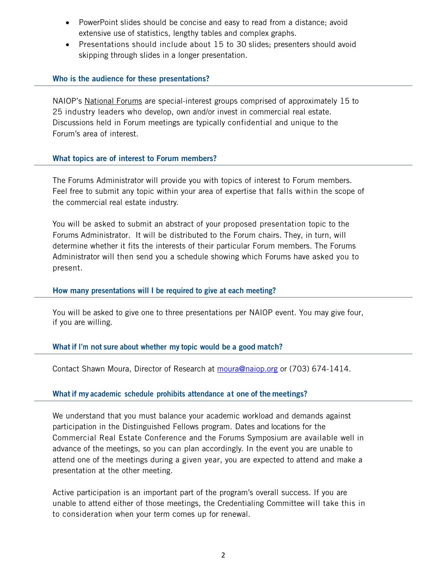- PowerPoint slides should be concise and easy to read from a distance; avoid extensive use of statistics, lengthy tables and complex graphs.
- Presentations should include about 15 to 30 slides; presenters should avoid skipping through slides in a longer presentation.

## Who is the audience for these presentations?

NAIOP's [National Forums](http://www.naiop.org/en/Connect/National-Forums.aspx) are special-interest groups comprised of approximately 15 to 25 industry leaders who develop, own and/or invest in commercial real estate. Discussions held in Forum meetings are typically confidential and unique to the Forum's area of interest.

## What topics are of interest to Forum members?

The Forums Administrator will provide you with topics of interest to Forum members. Feel free to submit any topic within your area of expertise that falls within the scope of the commercial real estate industry.

You will be asked to submit an abstract of your proposed presentation topic to the Forums Administrator. It will be distributed to the Forum chairs. They, in turn, will determine whether it fits the interests of their particular Forum members. The Forums Administrator will then send you a schedule showing which Forums have asked you to present.

## How many presentations will I be required to give at each meeting?

You will be asked to give one to three presentations per NAIOP event. You may give four, if you are willing.

## What if I'm not sure about whether my topic would be a good match?

Contact Shawn Moura, Director of Research at [moura@naiop.org](mailto:moura@naiop.org) or (703) 674-1414.

## What if my academic schedule prohibits attendance at one of the meetings?

We understand that you must balance your academic workload and demands against participation in the Distinguished Fellows program. [Dates](http://www.naiop.org/Attend.aspx?type=corp&view=all) and locations for the Commercial Real Estate Conference and the Forums Symposium are available well in advance of the meetings, so you can plan accordingly. In the event you are unable to attend one of the meetings during a given year, you are expected to attend and make a presentation at the other meeting.

Active participation is an important part of the program's overall success. If you are unable to attend either of those meetings, the Credentialing Committee will take this in to consideration when your term comes up for renewal.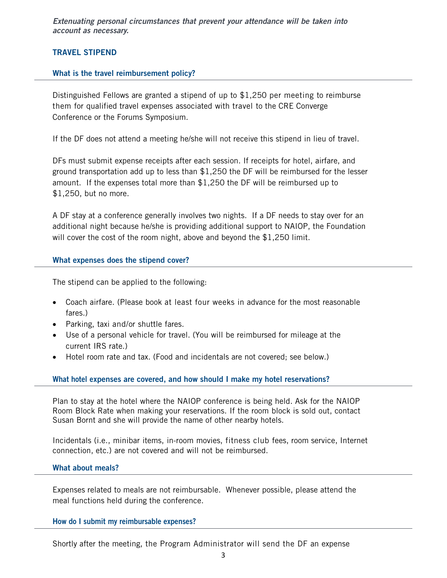*Extenuating personal circumstances that prevent your attendance will be taken into account as necessary.*

## TRAVEL STIPEND

### What is the travel reimbursement policy?

Distinguished Fellows are granted a stipend of up to \$1,250 per meeting to reimburse them for qualified travel expenses associated with travel to the CRE Converge Conference or the Forums Symposium.

If the DF does not attend a meeting he/she will not receive this stipend in lieu of travel.

DFs must submit expense receipts after each session. If receipts for hotel, airfare, and ground transportation add up to less than \$1,250 the DF will be reimbursed for the lesser amount. If the expenses total more than \$1,250 the DF will be reimbursed up to \$1,250, but no more.

A DF stay at a conference generally involves two nights. If a DF needs to stay over for an additional night because he/she is providing additional support to NAIOP, the Foundation will cover the cost of the room night, above and beyond the \$1,250 limit.

#### What expenses does the stipend cover?

The stipend can be applied to the following:

- Coach airfare. (Please book at least four weeks in advance for the most reasonable fares.)
- Parking, taxi and/or shuttle fares.
- Use of a personal vehicle for travel. (You will be reimbursed for mileage at the current IRS rate.)
- Hotel room rate and tax. (Food and incidentals are not covered; see below.)

#### What hotel expenses are covered, and how should I make my hotel reservations?

Plan to stay at the hotel where the NAIOP conference is being held. Ask for the NAIOP Room Block Rate when making your reservations. If the room block is sold out, contact Susan Bornt and she will provide the name of other nearby hotels.

Incidentals (i.e., minibar items, in-room movies, fitness club fees, room service, Internet connection, etc.) are not covered and will not be reimbursed.

#### What about meals?

Expenses related to meals are not reimbursable. Whenever possible, please attend the meal functions held during the conference.

### How do I submit my reimbursable expenses?

Shortly after the meeting, the Program Administrator will send the DF an expense